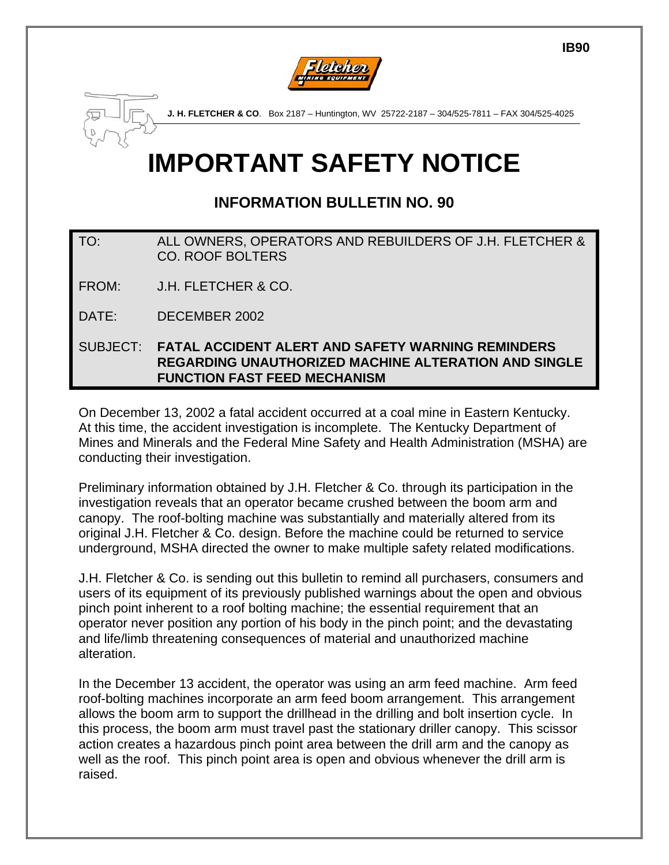

# **IMPORTANT SAFETY NOTICE**

## **INFORMATION BULLETIN NO. 90**

### TO: ALL OWNERS, OPERATORS AND REBUILDERS OF J.H. FLETCHER & CO. ROOF BOLTERS

FROM: J.H. FLETCHER & CO.

DATE: DECEMBER 2002

SUBJECT: **FATAL ACCIDENT ALERT AND SAFETY WARNING REMINDERS REGARDING UNAUTHORIZED MACHINE ALTERATION AND SINGLE FUNCTION FAST FEED MECHANISM**

On December 13, 2002 a fatal accident occurred at a coal mine in Eastern Kentucky. At this time, the accident investigation is incomplete. The Kentucky Department of Mines and Minerals and the Federal Mine Safety and Health Administration (MSHA) are conducting their investigation.

Preliminary information obtained by J.H. Fletcher & Co. through its participation in the investigation reveals that an operator became crushed between the boom arm and canopy. The roof-bolting machine was substantially and materially altered from its original J.H. Fletcher & Co. design. Before the machine could be returned to service underground, MSHA directed the owner to make multiple safety related modifications.

J.H. Fletcher & Co. is sending out this bulletin to remind all purchasers, consumers and users of its equipment of its previously published warnings about the open and obvious pinch point inherent to a roof bolting machine; the essential requirement that an operator never position any portion of his body in the pinch point; and the devastating and life/limb threatening consequences of material and unauthorized machine alteration.

In the December 13 accident, the operator was using an arm feed machine. Arm feed roof-bolting machines incorporate an arm feed boom arrangement. This arrangement allows the boom arm to support the drillhead in the drilling and bolt insertion cycle. In this process, the boom arm must travel past the stationary driller canopy. This scissor action creates a hazardous pinch point area between the drill arm and the canopy as well as the roof. This pinch point area is open and obvious whenever the drill arm is raised.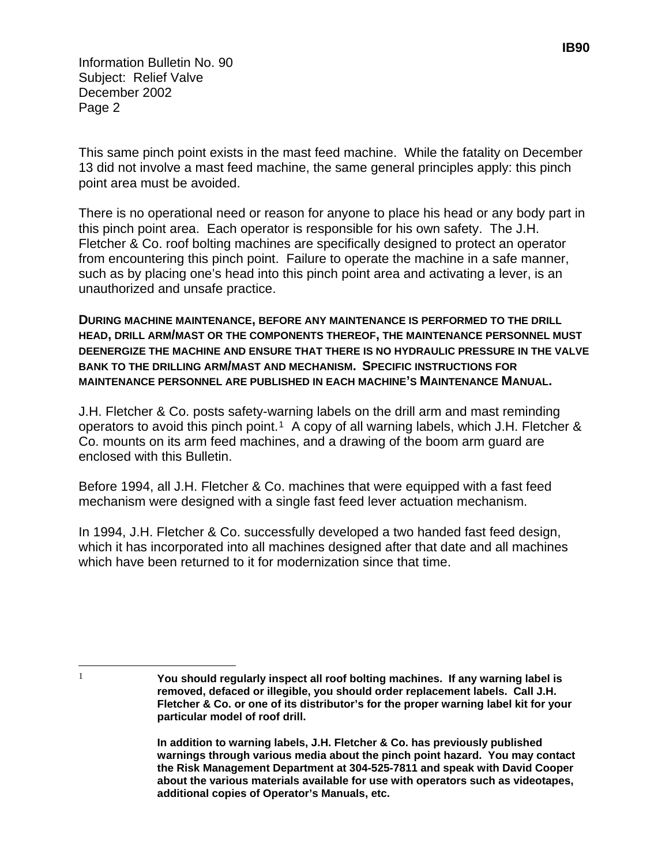Information Bulletin No. 90 Subject: Relief Valve December 2002 Page 2

This same pinch point exists in the mast feed machine. While the fatality on December 13 did not involve a mast feed machine, the same general principles apply: this pinch point area must be avoided.

There is no operational need or reason for anyone to place his head or any body part in this pinch point area. Each operator is responsible for his own safety. The J.H. Fletcher & Co. roof bolting machines are specifically designed to protect an operator from encountering this pinch point. Failure to operate the machine in a safe manner, such as by placing one's head into this pinch point area and activating a lever, is an unauthorized and unsafe practice.

**DURING MACHINE MAINTENANCE, BEFORE ANY MAINTENANCE IS PERFORMED TO THE DRILL HEAD, DRILL ARM/MAST OR THE COMPONENTS THEREOF, THE MAINTENANCE PERSONNEL MUST DEENERGIZE THE MACHINE AND ENSURE THAT THERE IS NO HYDRAULIC PRESSURE IN THE VALVE BANK TO THE DRILLING ARM/MAST AND MECHANISM. SPECIFIC INSTRUCTIONS FOR MAINTENANCE PERSONNEL ARE PUBLISHED IN EACH MACHINE'S MAINTENANCE MANUAL.** 

J.H. Fletcher & Co. posts safety-warning labels on the drill arm and mast reminding operators to avoid this pinch point.<sup>[1](#page-1-0)</sup> A copy of all warning labels, which J.H. Fletcher & Co. mounts on its arm feed machines, and a drawing of the boom arm guard are enclosed with this Bulletin.

Before 1994, all J.H. Fletcher & Co. machines that were equipped with a fast feed mechanism were designed with a single fast feed lever actuation mechanism.

In 1994, J.H. Fletcher & Co. successfully developed a two handed fast feed design, which it has incorporated into all machines designed after that date and all machines which have been returned to it for modernization since that time.

<span id="page-1-0"></span> $\overline{\phantom{a}}$ 

<sup>1</sup> **You should regularly inspect all roof bolting machines. If any warning label is removed, defaced or illegible, you should order replacement labels. Call J.H. Fletcher & Co. or one of its distributor's for the proper warning label kit for your particular model of roof drill.** 

**In addition to warning labels, J.H. Fletcher & Co. has previously published warnings through various media about the pinch point hazard. You may contact the Risk Management Department at 304-525-7811 and speak with David Cooper about the various materials available for use with operators such as videotapes, additional copies of Operator's Manuals, etc.**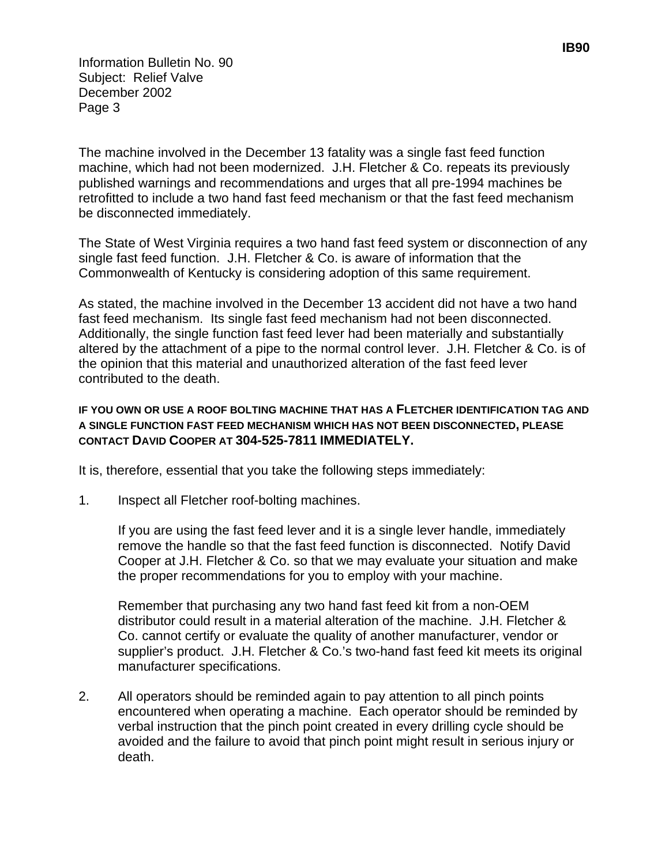Information Bulletin No. 90 Subject: Relief Valve December 2002 Page 3

The machine involved in the December 13 fatality was a single fast feed function machine, which had not been modernized. J.H. Fletcher & Co. repeats its previously published warnings and recommendations and urges that all pre-1994 machines be retrofitted to include a two hand fast feed mechanism or that the fast feed mechanism be disconnected immediately.

The State of West Virginia requires a two hand fast feed system or disconnection of any single fast feed function. J.H. Fletcher & Co. is aware of information that the Commonwealth of Kentucky is considering adoption of this same requirement.

As stated, the machine involved in the December 13 accident did not have a two hand fast feed mechanism. Its single fast feed mechanism had not been disconnected. Additionally, the single function fast feed lever had been materially and substantially altered by the attachment of a pipe to the normal control lever. J.H. Fletcher & Co. is of the opinion that this material and unauthorized alteration of the fast feed lever contributed to the death.

### **IF YOU OWN OR USE A ROOF BOLTING MACHINE THAT HAS A FLETCHER IDENTIFICATION TAG AND A SINGLE FUNCTION FAST FEED MECHANISM WHICH HAS NOT BEEN DISCONNECTED, PLEASE CONTACT DAVID COOPER AT 304-525-7811 IMMEDIATELY.**

It is, therefore, essential that you take the following steps immediately:

1. Inspect all Fletcher roof-bolting machines.

If you are using the fast feed lever and it is a single lever handle, immediately remove the handle so that the fast feed function is disconnected. Notify David Cooper at J.H. Fletcher & Co. so that we may evaluate your situation and make the proper recommendations for you to employ with your machine.

Remember that purchasing any two hand fast feed kit from a non-OEM distributor could result in a material alteration of the machine. J.H. Fletcher & Co. cannot certify or evaluate the quality of another manufacturer, vendor or supplier's product. J.H. Fletcher & Co.'s two-hand fast feed kit meets its original manufacturer specifications.

2. All operators should be reminded again to pay attention to all pinch points encountered when operating a machine. Each operator should be reminded by verbal instruction that the pinch point created in every drilling cycle should be avoided and the failure to avoid that pinch point might result in serious injury or death.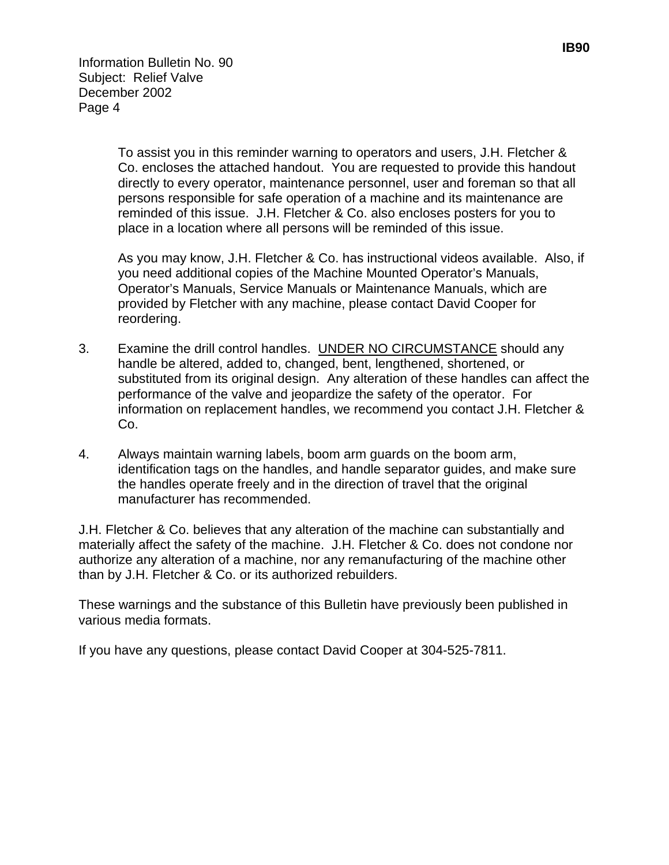Information Bulletin No. 90 Subject: Relief Valve December 2002 Page 4

> To assist you in this reminder warning to operators and users, J.H. Fletcher & Co. encloses the attached handout. You are requested to provide this handout directly to every operator, maintenance personnel, user and foreman so that all persons responsible for safe operation of a machine and its maintenance are reminded of this issue. J.H. Fletcher & Co. also encloses posters for you to place in a location where all persons will be reminded of this issue.

As you may know, J.H. Fletcher & Co. has instructional videos available. Also, if you need additional copies of the Machine Mounted Operator's Manuals, Operator's Manuals, Service Manuals or Maintenance Manuals, which are provided by Fletcher with any machine, please contact David Cooper for reordering.

- 3. Examine the drill control handles. UNDER NO CIRCUMSTANCE should any handle be altered, added to, changed, bent, lengthened, shortened, or substituted from its original design. Any alteration of these handles can affect the performance of the valve and jeopardize the safety of the operator. For information on replacement handles, we recommend you contact J.H. Fletcher & Co.
- 4. Always maintain warning labels, boom arm guards on the boom arm, identification tags on the handles, and handle separator guides, and make sure the handles operate freely and in the direction of travel that the original manufacturer has recommended.

J.H. Fletcher & Co. believes that any alteration of the machine can substantially and materially affect the safety of the machine. J.H. Fletcher & Co. does not condone nor authorize any alteration of a machine, nor any remanufacturing of the machine other than by J.H. Fletcher & Co. or its authorized rebuilders.

These warnings and the substance of this Bulletin have previously been published in various media formats.

If you have any questions, please contact David Cooper at 304-525-7811.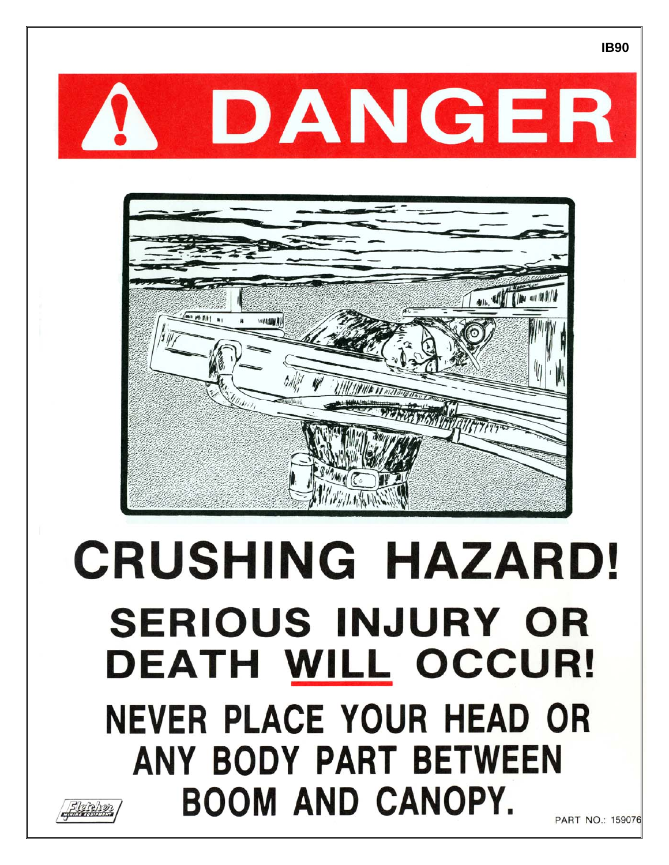



# **CRUSHING HAZARD! SERIOUS INJURY OR DEATH WILL OCCUR! NEVER PLACE YOUR HEAD OR** ANY BODY PART BETWEEN **BOOM AND CANOPY.**



PART NO.: 159076

**IB90**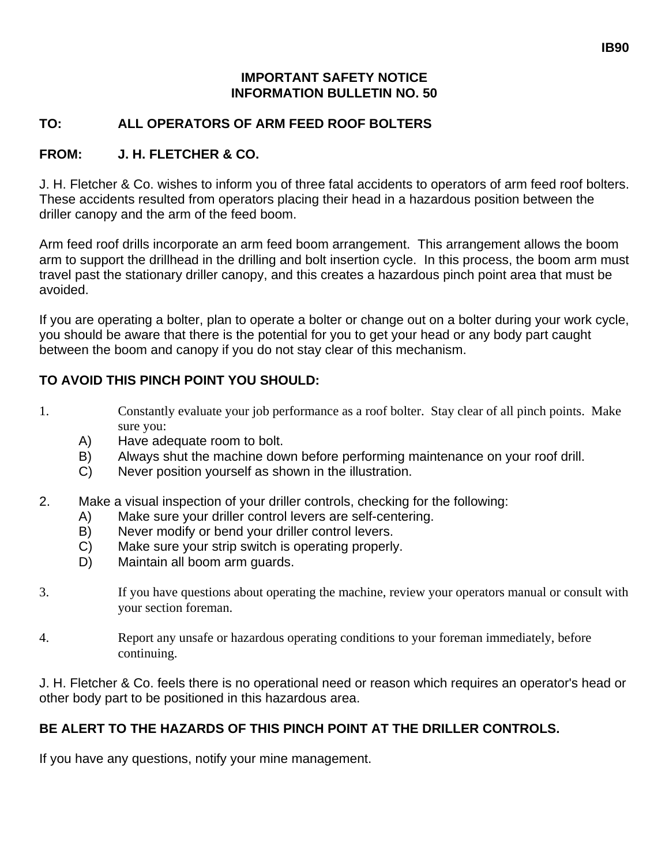### **IMPORTANT SAFETY NOTICE INFORMATION BULLETIN NO. 50**

### **TO: ALL OPERATORS OF ARM FEED ROOF BOLTERS**

### **FROM: J. H. FLETCHER & CO.**

J. H. Fletcher & Co. wishes to inform you of three fatal accidents to operators of arm feed roof bolters. These accidents resulted from operators placing their head in a hazardous position between the driller canopy and the arm of the feed boom.

Arm feed roof drills incorporate an arm feed boom arrangement. This arrangement allows the boom arm to support the drillhead in the drilling and bolt insertion cycle. In this process, the boom arm must travel past the stationary driller canopy, and this creates a hazardous pinch point area that must be avoided.

If you are operating a bolter, plan to operate a bolter or change out on a bolter during your work cycle, you should be aware that there is the potential for you to get your head or any body part caught between the boom and canopy if you do not stay clear of this mechanism.

### **TO AVOID THIS PINCH POINT YOU SHOULD:**

- 1. Constantly evaluate your job performance as a roof bolter. Stay clear of all pinch points. Make sure you:
	- A) Have adequate room to bolt.
	- B) Always shut the machine down before performing maintenance on your roof drill.
	- C) Never position yourself as shown in the illustration.
- 2. Make a visual inspection of your driller controls, checking for the following:
	- A) Make sure your driller control levers are self-centering.
	- B) Never modify or bend your driller control levers.
	- C) Make sure your strip switch is operating properly.
	- D) Maintain all boom arm guards.
- 3. If you have questions about operating the machine, review your operators manual or consult with your section foreman.
- 4. Report any unsafe or hazardous operating conditions to your foreman immediately, before continuing.

J. H. Fletcher & Co. feels there is no operational need or reason which requires an operator's head or other body part to be positioned in this hazardous area.

## **BE ALERT TO THE HAZARDS OF THIS PINCH POINT AT THE DRILLER CONTROLS.**

If you have any questions, notify your mine management.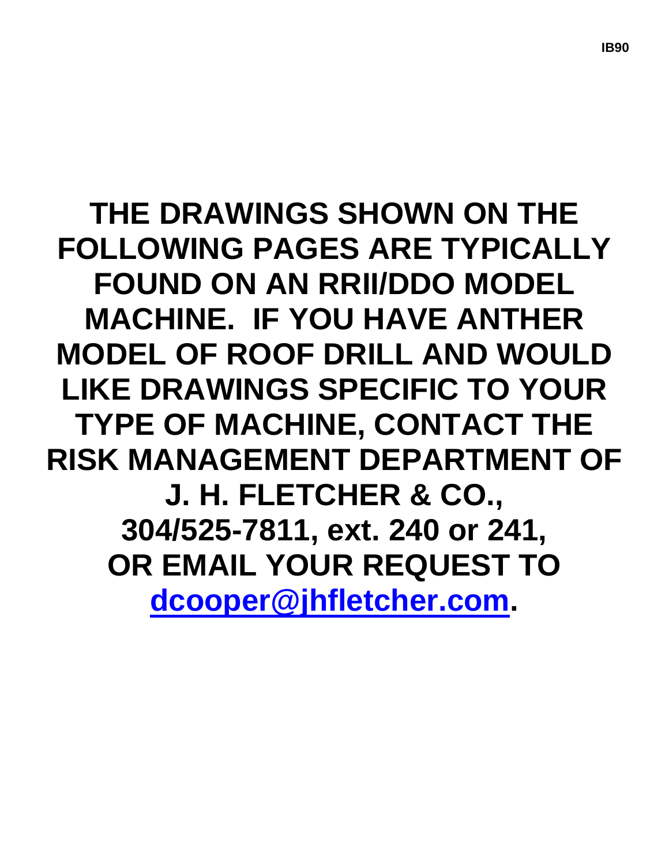# **THE DRAWINGS SHOWN ON THE FOLLOWING PAGES ARE TYPICALLY FOUND ON AN RRII/DDO MODEL MACHINE. IF YOU HAVE ANTHER MODEL OF ROOF DRILL AND WOULD LIKE DRAWINGS SPECIFIC TO YOUR TYPE OF MACHINE, CONTACT THE RISK MANAGEMENT DEPARTMENT OF J. H. FLETCHER & CO., 304/525-7811, ext. 240 or 241, OR EMAIL YOUR REQUEST TO [dcooper@jhfletcher.com.](mailto:dcooper@jhfletcher.com)**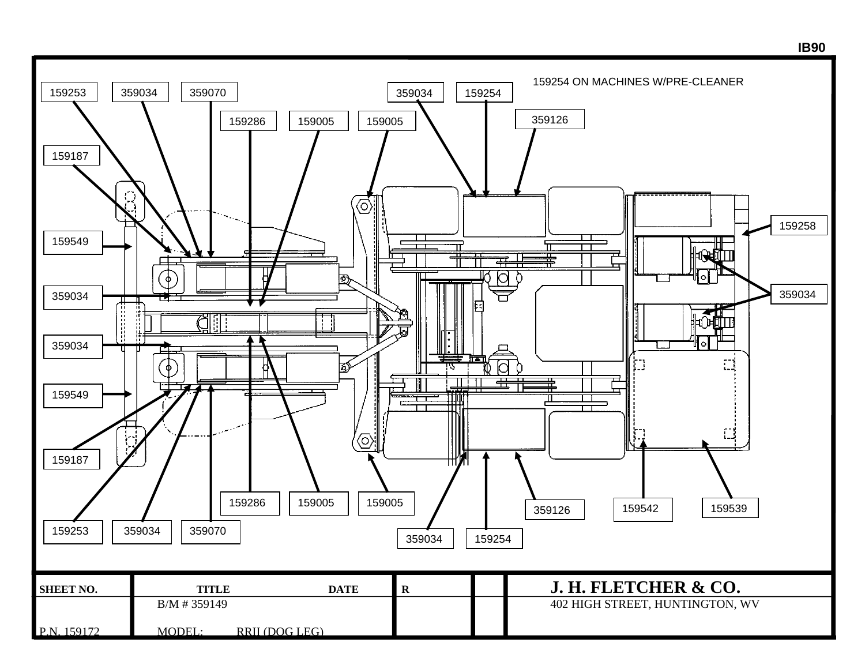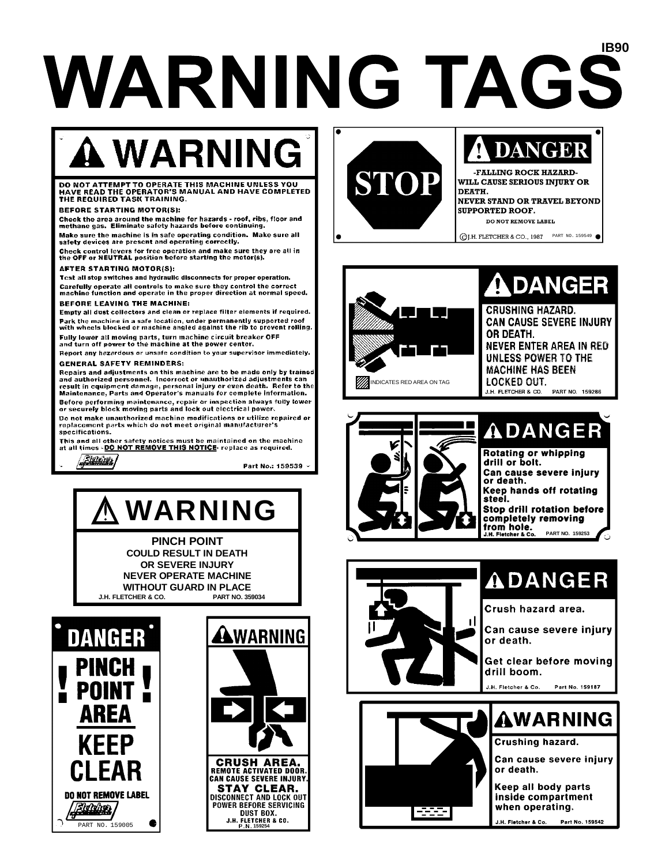# **IB90 WARNING TAGS**

# **A WARNING**

#### DO NOT ATTEMPT TO OPERATE THIS MACHINE UNLESS YOU<br>HAVE READ THE OPERATOR'S MANUAL AND HAVE COMPLETED THE REQUIRED TASK TRAINING.

#### **REFORE STARTING MOTOR(S):**

Check the area around the machine for hazards - roof, ribs, floor and<br>methane gas. Eliminate safety hazards before continuing.

Make sure the machine is in safe operating condition. Make sure all safety devices are present and operating correctly.

Check control levers for free operation and make sure they are all in<br>the OFF or NEUTRAL position before starting the motor(s).

#### **AFTER STARTING MOTOR(S):**

Test all stop switches and hydraulic disconnects for proper operation. Carefully operate all controls to make sure they control the correct<br>machine function and operate in the proper direction at normal speed.

#### **BEFORE LEAVING THE MACHINE:**

Empty all dust collectors and clean or replace filter elements if required. Park the machine in a safe location, under permanently supported roof with wheels blocked or machine angled against the rib to prevent rolling.

Fully lower all moving parts, turn machine circuit breaker OFF<br>and turn off power to the machine at the power center.

Report any hazardous or unsafe condition to your supervisor immediately.

#### **GENERAL SAFETY REMINDERS:**

Repairs and adjustments on this machine are to be made only by trained and authorized personnel. Incorrect or unauthorized adjustments can<br>result in equipment damage, personal injury or even death. Refer to the<br>Maintenance, Parts and Operator's manuals for complete information. Before performing maintenance, repair or inspection always fully lower securely block moving parts and lock out electrical power.

Do not make unauthorized machine modifications or utilize repaired or replacement parts which do not meet original manufacturer's specifications.

This and all other safety notices must be maintained on the machine<br>at all times - DO NOT REMOVE THIS NOTICE- replace as required.

<u> Slateiras</u>

Part No.: 159539 -

# **WARNING**

**PINCH POINT COULD RESULT IN DEATH** OR SEVERE INJURY **NEVER OPERATE MACHINE WITHOUT GUARD IN PLACE** J.H. FLETCHER & CO. PART NO. 359034







## **DANGER FALLING ROCK HAZARD-**

WILL CAUSE SERIOUS INJURY OR **DEATH** NEVER STAND OR TRAVEL BEYOND **SUPPORTED ROOF. DO NOT REMOVE LABEL** 

©J.H. FLETCHER & CO., 1987 PART NO. 159549 ●



# **ADANGER**

**CRUSHING HAZARD. CAN CAUSE SEVERE INJURY** OR DEATH. NEVER ENTER AREA IN RED UNLESS POWER TO THE **MACHINE HAS BEEN** LOCKED OUT. **J.H. FLETCHER & CO. PART NO. 159286** 





# **ADANGER**

Crush hazard area.

Can cause severe injury or death.

Get clear before moving drill boom.

J.H. Fletcher & Co.





# **AWARNING** Crushing hazard.

Can cause severe iniurv or death.

Keep all body parts inside compartment when operating.

J.H. Fletcher & Co. Part No. 159542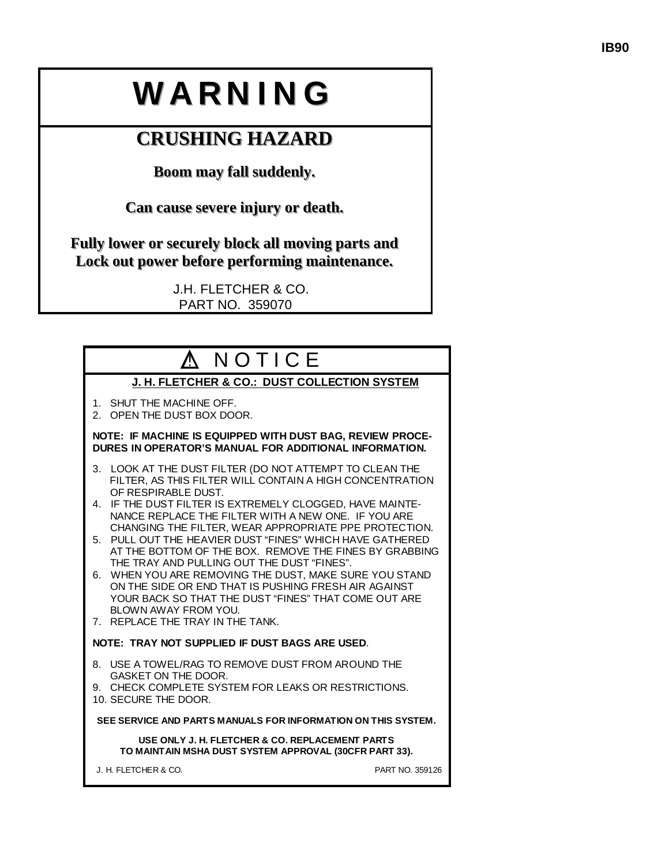# WARNING

# **CRUSHING HAZARD**

**Boom may fall suddenly.** 

Can cause severe injury or death.

Fully lower or securely block all moving parts and Lock out power before performing maintenance.

> J.H. FLETCHER & CO. PART NO. 359070

| A NOTICE                                                                                                                                                                                                                                                                         |
|----------------------------------------------------------------------------------------------------------------------------------------------------------------------------------------------------------------------------------------------------------------------------------|
| J. H. FLETCHER & CO.: DUST COLLECTION SYSTEM                                                                                                                                                                                                                                     |
| 1. SHUT THE MACHINE OFF.<br>2. OPEN THE DUST BOX DOOR.                                                                                                                                                                                                                           |
| NOTE: IF MACHINE IS EQUIPPED WITH DUST BAG, REVIEW PROCE-<br>DURES IN OPERATOR'S MANUAL FOR ADDITIONAL INFORMATION.                                                                                                                                                              |
| LOOK AT THE DUST FILTER (DO NOT ATTEMPT TO CLEAN THE<br>3.<br>FILTER, AS THIS FILTER WILL CONTAIN A HIGH CONCENTRATION<br>OF RESPIRABLE DUST.                                                                                                                                    |
| 4. IF THE DUST FILTER IS EXTREMELY CLOGGED, HAVE MAINTE-<br>NANCE REPLACE THE FILTER WITH A NEW ONE. IF YOU ARE                                                                                                                                                                  |
| CHANGING THE FILTER, WEAR APPROPRIATE PPE PROTECTION.<br>5. PULL OUT THE HEAVIER DUST "FINES" WHICH HAVE GATHERED<br>AT THE BOTTOM OF THE BOX. REMOVE THE FINES BY GRABBING                                                                                                      |
| THE TRAY AND PULLING OUT THE DUST "FINES".<br>6. WHEN YOU ARE REMOVING THE DUST, MAKE SURE YOU STAND<br>ON THE SIDE OR END THAT IS PUSHING FRESH AIR AGAINST<br>YOUR BACK SO THAT THE DUST "FINES" THAT COME OUT ARE<br>BLOWN AWAY FROM YOU.<br>7. REPLACE THE TRAY IN THE TANK. |
| NOTE: TRAY NOT SUPPLIED IF DUST BAGS ARE USED.                                                                                                                                                                                                                                   |
| 8. USE A TOWEL/RAG TO REMOVE DUST FROM AROUND THE<br>GASKET ON THE DOOR.                                                                                                                                                                                                         |
| 9. CHECK COMPLETE SYSTEM FOR LEAKS OR RESTRICTIONS.<br>10. SECURE THE DOOR.                                                                                                                                                                                                      |
| SEE SERVICE AND PARTS MANUALS FOR INFORMATION ON THIS SYSTEM.                                                                                                                                                                                                                    |
| USE ONLY J. H. FLETCHER & CO. REPLACEMENT PARTS<br>TO MAINTAIN MSHA DUST SYSTEM APPROVAL (30CFR PART 33).                                                                                                                                                                        |
| J. H. FLETCHER & CO.<br>PART NO. 359126                                                                                                                                                                                                                                          |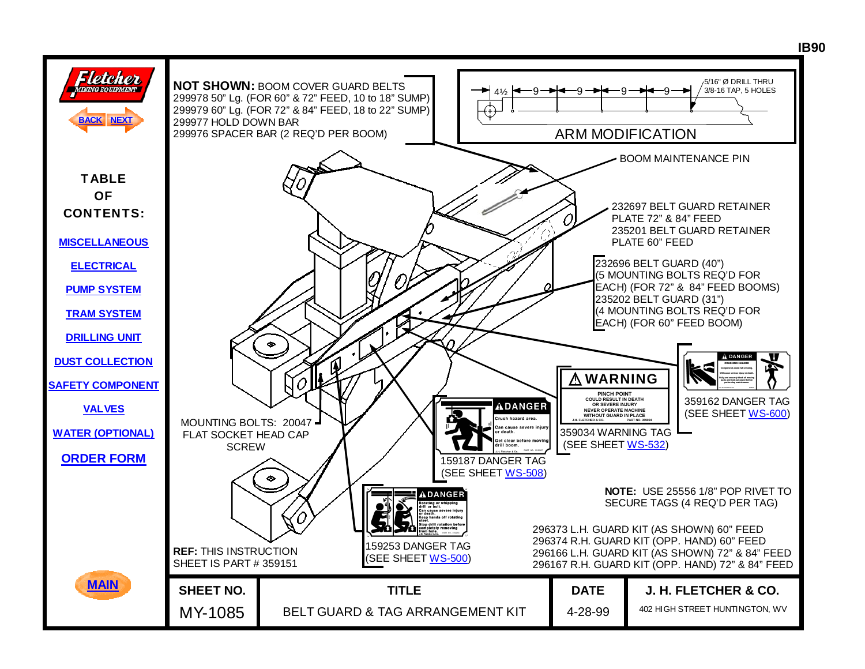